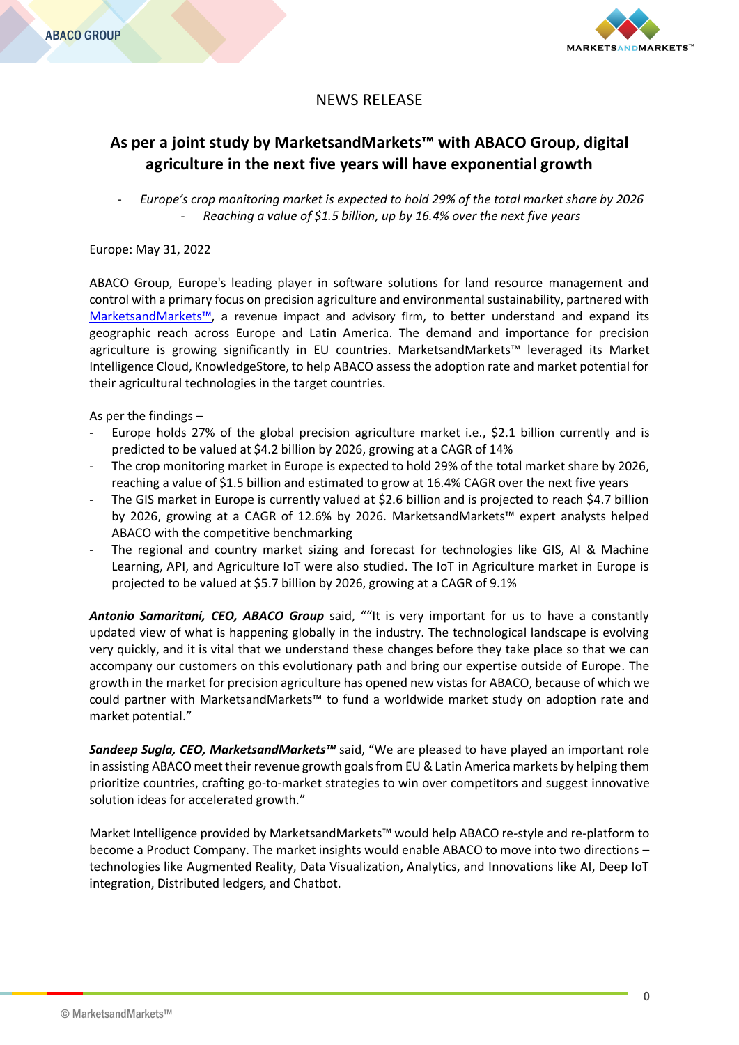

# NEWS RELEASE

# **As per a joint study by MarketsandMarkets™ with ABACO Group, digital agriculture in the next five years will have exponential growth**

- *Europe's crop monitoring market is expected to hold 29% of the total market share by 2026* - *Reaching a value of \$1.5 billion, up by 16.4% over the next five years*

## Europe: May 31, 2022

ABACO Group, Europe's leading player in software solutions for land resource management and control with a primary focus on precision agriculture and environmental sustainability, partnered with [Marketsand](https://www.marketsandmarkets.com/)Markets™, a revenue impact and advisory firm, to better understand and expand its geographic reach across Europe and Latin America. The demand and importance for precision agriculture is growing significantly in EU countries. MarketsandMarkets™ leveraged its Market Intelligence Cloud, KnowledgeStore, to help ABACO assess the adoption rate and market potential for their agricultural technologies in the target countries.

As per the findings –

- Europe holds 27% of the global precision agriculture market i.e., \$2.1 billion currently and is predicted to be valued at \$4.2 billion by 2026, growing at a CAGR of 14%
- The crop monitoring market in Europe is expected to hold 29% of the total market share by 2026, reaching a value of \$1.5 billion and estimated to grow at 16.4% CAGR over the next five years
- The GIS market in Europe is currently valued at \$2.6 billion and is projected to reach \$4.7 billion by 2026, growing at a CAGR of 12.6% by 2026. MarketsandMarkets™ expert analysts helped ABACO with the competitive benchmarking
- The regional and country market sizing and forecast for technologies like GIS, AI & Machine Learning, API, and Agriculture IoT were also studied. The IoT in Agriculture market in Europe is projected to be valued at \$5.7 billion by 2026, growing at a CAGR of 9.1%

*Antonio Samaritani, CEO, ABACO Group* said, ""It is very important for us to have a constantly updated view of what is happening globally in the industry. The technological landscape is evolving very quickly, and it is vital that we understand these changes before they take place so that we can accompany our customers on this evolutionary path and bring our expertise outside of Europe. The growth in the market for precision agriculture has opened new vistas for ABACO, because of which we could partner with MarketsandMarkets™ to fund a worldwide market study on adoption rate and market potential."

*Sandeep Sugla, CEO, MarketsandMarkets™* said, "We are pleased to have played an important role in assisting ABACO meet their revenue growth goals from EU & Latin America markets by helping them prioritize countries, crafting go-to-market strategies to win over competitors and suggest innovative solution ideas for accelerated growth."

Market Intelligence provided by MarketsandMarkets™ would help ABACO re-style and re-platform to become a Product Company. The market insights would enable ABACO to move into two directions – technologies like Augmented Reality, Data Visualization, Analytics, and Innovations like AI, Deep IoT integration, Distributed ledgers, and Chatbot.